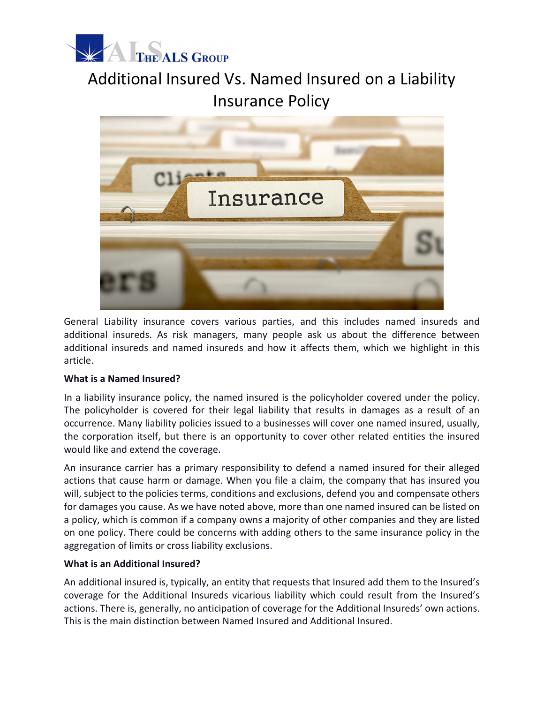

## Additional Insured Vs. Named Insured on a Liability Insurance Policy



General Liability insurance covers various parties, and this includes named insureds and additional insureds. As risk managers, many people ask us about the difference between additional insureds and named insureds and how it affects them, which we highlight in this article.

## **What is a Named Insured?**

In a liability insurance policy, the named insured is the policyholder covered under the policy. The policyholder is covered for their legal liability that results in damages as a result of an occurrence. Many liability policies issued to a businesses will cover one named insured, usually, the corporation itself, but there is an opportunity to cover other related entities the insured would like and extend the coverage.

An insurance carrier has a primary responsibility to defend a named insured for their alleged actions that cause harm or damage. When you file a claim, the company that has insured you will, subject to the policies terms, conditions and exclusions, defend you and compensate others for damages you cause. As we have noted above, more than one named insured can be listed on a policy, which is common if a company owns a majority of other companies and they are listed on one policy. There could be concerns with adding others to the same insurance policy in the aggregation of limits or cross liability exclusions.

## **What is an Additional Insured?**

An additional insured is, typically, an entity that requests that Insured add them to the Insured's coverage for the Additional Insureds vicarious liability which could result from the Insured's actions. There is, generally, no anticipation of coverage for the Additional Insureds' own actions. This is the main distinction between Named Insured and Additional Insured.